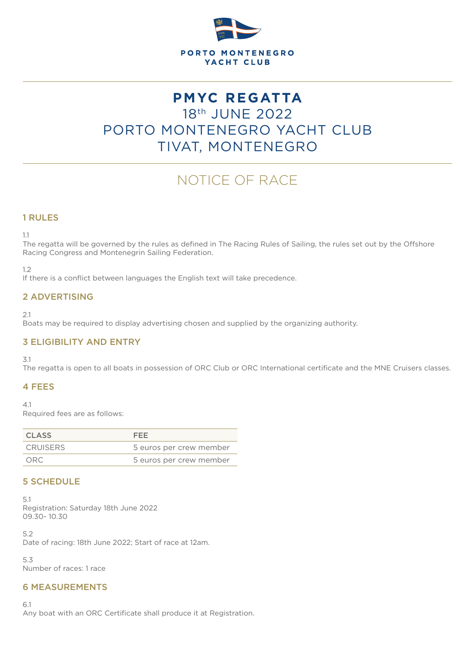

# **PMYC REGATTA** 18th JUNE 2022 PORTO MONTENEGRO YACHT CLUB TIVAT, MONTENEGRO

# NOTICE OF RACE

# 1 RULES

1.1

The regatta will be governed by the rules as defined in The Racing Rules of Sailing, the rules set out by the Offshore Racing Congress and Montenegrin Sailing Federation.

1.2

If there is a conflict between languages the English text will take precedence.

#### 2 ADVERTISING

2.1

Boats may be required to display advertising chosen and supplied by the organizing authority.

# 3 ELIGIBILITY AND ENTRY

3.1

The regatta is open to all boats in possession of ORC Club or ORC International certificate and the MNE Cruisers classes.

# 4 FEES

 $4.1$ 

Required fees are as follows:

| <b>CLASS</b>    | FFF.                    |
|-----------------|-------------------------|
| <b>CRUISERS</b> | 5 euros per crew member |
| ORC.            | 5 euros per crew member |

#### 5 SCHEDULE

5.1 Registration: Saturday 18th June 2022 09.30- 10.30

5.2 Date of racing: 18th June 2022; Start of race at 12am.

5.3 Number of races: 1 race

#### 6 MEASUREMENTS

6.1

Any boat with an ORC Certificate shall produce it at Registration.